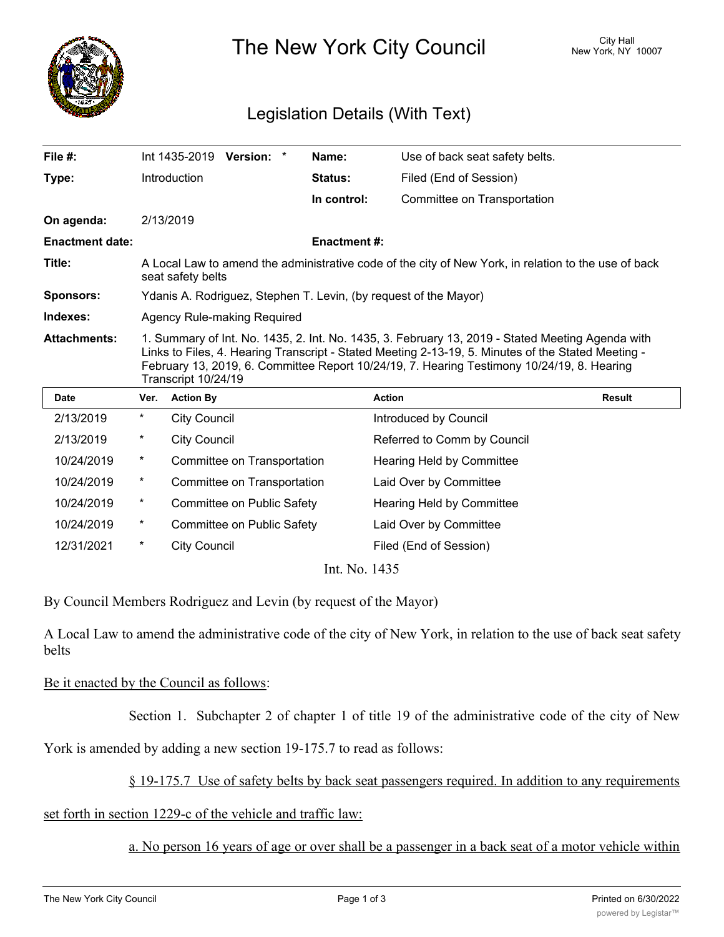

The New York City Council New York, NY 10007

## Legislation Details (With Text)

| File $#$ :             |                                                                                                                                                                                                                                                                                                                             |                     | Int 1435-2019 Version: *    |  | Name:               | Use of back seat safety belts. |               |
|------------------------|-----------------------------------------------------------------------------------------------------------------------------------------------------------------------------------------------------------------------------------------------------------------------------------------------------------------------------|---------------------|-----------------------------|--|---------------------|--------------------------------|---------------|
| Type:                  |                                                                                                                                                                                                                                                                                                                             | Introduction        |                             |  | <b>Status:</b>      | Filed (End of Session)         |               |
|                        |                                                                                                                                                                                                                                                                                                                             |                     |                             |  | In control:         | Committee on Transportation    |               |
| On agenda:             |                                                                                                                                                                                                                                                                                                                             | 2/13/2019           |                             |  |                     |                                |               |
| <b>Enactment date:</b> |                                                                                                                                                                                                                                                                                                                             |                     |                             |  | <b>Enactment #:</b> |                                |               |
| Title:                 | A Local Law to amend the administrative code of the city of New York, in relation to the use of back<br>seat safety belts                                                                                                                                                                                                   |                     |                             |  |                     |                                |               |
| <b>Sponsors:</b>       | Ydanis A. Rodriguez, Stephen T. Levin, (by request of the Mayor)                                                                                                                                                                                                                                                            |                     |                             |  |                     |                                |               |
| Indexes:               | Agency Rule-making Required                                                                                                                                                                                                                                                                                                 |                     |                             |  |                     |                                |               |
| <b>Attachments:</b>    | 1. Summary of Int. No. 1435, 2. Int. No. 1435, 3. February 13, 2019 - Stated Meeting Agenda with<br>Links to Files, 4. Hearing Transcript - Stated Meeting 2-13-19, 5. Minutes of the Stated Meeting -<br>February 13, 2019, 6. Committee Report 10/24/19, 7. Hearing Testimony 10/24/19, 8. Hearing<br>Transcript 10/24/19 |                     |                             |  |                     |                                |               |
| <b>Date</b>            | Ver.                                                                                                                                                                                                                                                                                                                        | <b>Action By</b>    |                             |  |                     | <b>Action</b>                  | <b>Result</b> |
| 2/13/2019              | *                                                                                                                                                                                                                                                                                                                           | <b>City Council</b> |                             |  |                     | Introduced by Council          |               |
| 2/13/2019              | $^\star$                                                                                                                                                                                                                                                                                                                    | <b>City Council</b> |                             |  |                     | Referred to Comm by Council    |               |
| 10/24/2019             | $^\star$                                                                                                                                                                                                                                                                                                                    |                     | Committee on Transportation |  |                     | Hearing Held by Committee      |               |
| 10/24/2019             | *                                                                                                                                                                                                                                                                                                                           |                     | Committee on Transportation |  |                     | Laid Over by Committee         |               |
| 10/24/2019             | $^\star$                                                                                                                                                                                                                                                                                                                    |                     | Committee on Public Safety  |  |                     | Hearing Held by Committee      |               |
| 10/24/2019             | *                                                                                                                                                                                                                                                                                                                           |                     | Committee on Public Safety  |  |                     | Laid Over by Committee         |               |

Int. No. 1435

By Council Members Rodriguez and Levin (by request of the Mayor)

12/31/2021 \* City Council Council Filed (End of Session)

A Local Law to amend the administrative code of the city of New York, in relation to the use of back seat safety belts

## Be it enacted by the Council as follows:

Section 1. Subchapter 2 of chapter 1 of title 19 of the administrative code of the city of New

York is amended by adding a new section 19-175.7 to read as follows:

## § 19-175.7 Use of safety belts by back seat passengers required. In addition to any requirements

set forth in section 1229-c of the vehicle and traffic law:

a. No person 16 years of age or over shall be a passenger in a back seat of a motor vehicle within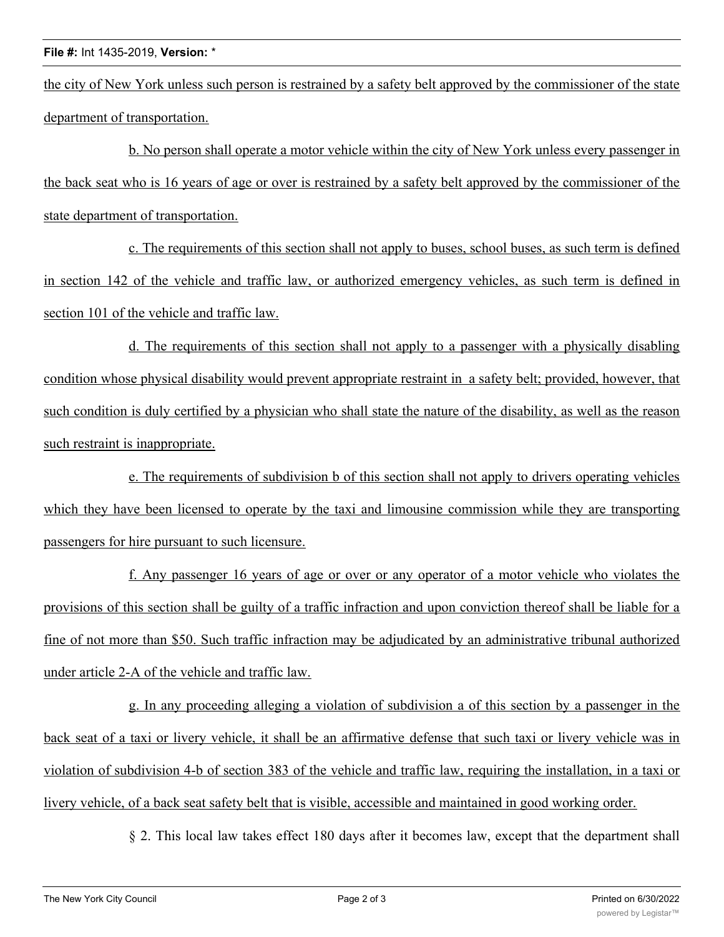the city of New York unless such person is restrained by a safety belt approved by the commissioner of the state department of transportation.

b. No person shall operate a motor vehicle within the city of New York unless every passenger in the back seat who is 16 years of age or over is restrained by a safety belt approved by the commissioner of the state department of transportation.

c. The requirements of this section shall not apply to buses, school buses, as such term is defined in section 142 of the vehicle and traffic law, or authorized emergency vehicles, as such term is defined in section 101 of the vehicle and traffic law.

d. The requirements of this section shall not apply to a passenger with a physically disabling condition whose physical disability would prevent appropriate restraint in a safety belt; provided, however, that such condition is duly certified by a physician who shall state the nature of the disability, as well as the reason such restraint is inappropriate.

e. The requirements of subdivision b of this section shall not apply to drivers operating vehicles which they have been licensed to operate by the taxi and limousine commission while they are transporting passengers for hire pursuant to such licensure.

f. Any passenger 16 years of age or over or any operator of a motor vehicle who violates the provisions of this section shall be guilty of a traffic infraction and upon conviction thereof shall be liable for a fine of not more than \$50. Such traffic infraction may be adjudicated by an administrative tribunal authorized under article 2-A of the vehicle and traffic law.

g. In any proceeding alleging a violation of subdivision a of this section by a passenger in the back seat of a taxi or livery vehicle, it shall be an affirmative defense that such taxi or livery vehicle was in violation of subdivision 4-b of section 383 of the vehicle and traffic law, requiring the installation, in a taxi or livery vehicle, of a back seat safety belt that is visible, accessible and maintained in good working order.

§ 2. This local law takes effect 180 days after it becomes law, except that the department shall